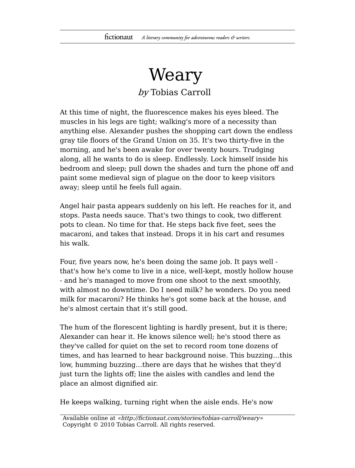## Weary by Tobias Carroll

At this time of night, the fluorescence makes his eyes bleed. The muscles in his legs are tight; walking's more of a necessity than anything else. Alexander pushes the shopping cart down the endless gray tile floors of the Grand Union on 35. It's two thirty-five in the morning, and he's been awake for over twenty hours. Trudging along, all he wants to do is sleep. Endlessly. Lock himself inside his bedroom and sleep; pull down the shades and turn the phone off and paint some medieval sign of plague on the door to keep visitors away; sleep until he feels full again.

Angel hair pasta appears suddenly on his left. He reaches for it, and stops. Pasta needs sauce. That's two things to cook, two different pots to clean. No time for that. He steps back five feet, sees the macaroni, and takes that instead. Drops it in his cart and resumes his walk.

Four, five years now, he's been doing the same job. It pays well that's how he's come to live in a nice, well-kept, mostly hollow house - and he's managed to move from one shoot to the next smoothly, with almost no downtime. Do I need milk? he wonders. Do you need milk for macaroni? He thinks he's got some back at the house, and he's almost certain that it's still good.

The hum of the florescent lighting is hardly present, but it is there; Alexander can hear it. He knows silence well; he's stood there as they've called for quiet on the set to record room tone dozens of times, and has learned to hear background noise. This buzzing…this low, humming buzzing…there are days that he wishes that they'd just turn the lights off; line the aisles with candles and lend the place an almost dignified air.

He keeps walking, turning right when the aisle ends. He's now

Available online at «http://fictionaut.com/stories/tobias-carroll/weary» Copyright © 2010 Tobias Carroll. All rights reserved.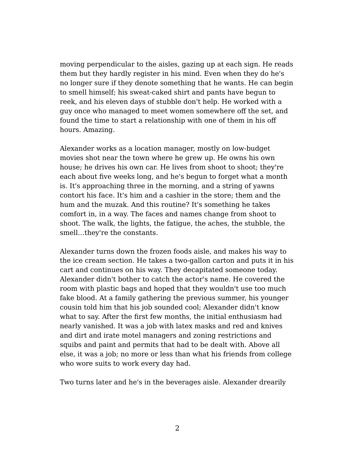moving perpendicular to the aisles, gazing up at each sign. He reads them but they hardly register in his mind. Even when they do he's no longer sure if they denote something that he wants. He can begin to smell himself; his sweat-caked shirt and pants have begun to reek, and his eleven days of stubble don't help. He worked with a guy once who managed to meet women somewhere off the set, and found the time to start a relationship with one of them in his off hours. Amazing.

Alexander works as a location manager, mostly on low-budget movies shot near the town where he grew up. He owns his own house; he drives his own car. He lives from shoot to shoot; they're each about five weeks long, and he's begun to forget what a month is. It's approaching three in the morning, and a string of yawns contort his face. It's him and a cashier in the store; them and the hum and the muzak. And this routine? It's something he takes comfort in, in a way. The faces and names change from shoot to shoot. The walk, the lights, the fatigue, the aches, the stubble, the smell…they're the constants.

Alexander turns down the frozen foods aisle, and makes his way to the ice cream section. He takes a two-gallon carton and puts it in his cart and continues on his way. They decapitated someone today. Alexander didn't bother to catch the actor's name. He covered the room with plastic bags and hoped that they wouldn't use too much fake blood. At a family gathering the previous summer, his younger cousin told him that his job sounded cool; Alexander didn't know what to say. After the first few months, the initial enthusiasm had nearly vanished. It was a job with latex masks and red and knives and dirt and irate motel managers and zoning restrictions and squibs and paint and permits that had to be dealt with. Above all else, it was a job; no more or less than what his friends from college who wore suits to work every day had.

Two turns later and he's in the beverages aisle. Alexander drearily